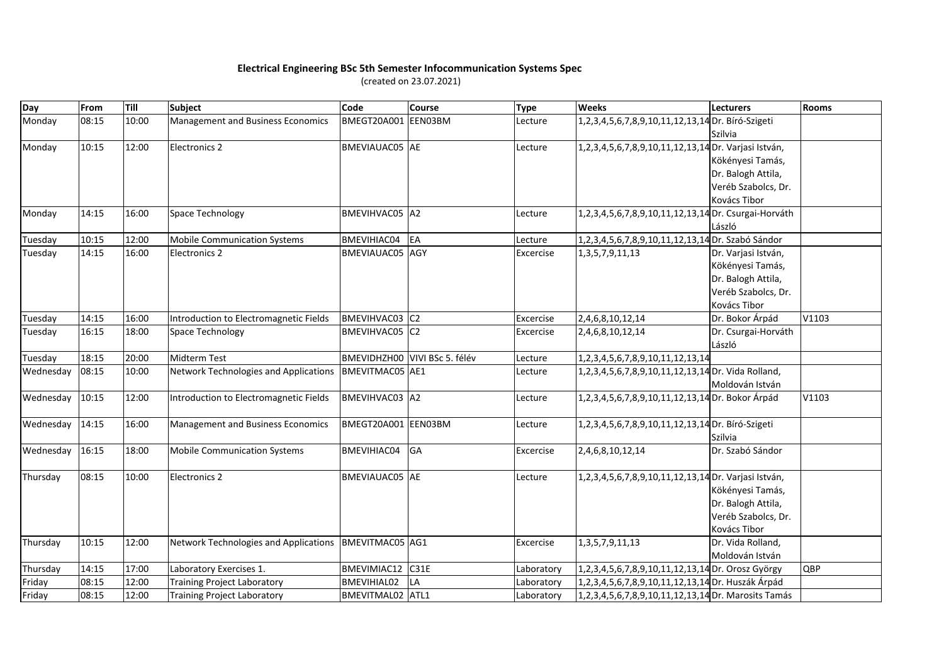## **Electrical Engineering BSc 5th Semester Infocommunication Systems Spec**

(created on 23.07.2021)

| Day       | From  | Till  | Subject                                | Code                   | <b>Course</b>                 | <b>Type</b> | <b>Weeks</b>                                         | Lecturers           | <b>Rooms</b> |
|-----------|-------|-------|----------------------------------------|------------------------|-------------------------------|-------------|------------------------------------------------------|---------------------|--------------|
| Monday    | 08:15 | 10:00 | Management and Business Economics      | BMEGT20A001            | EEN03BM                       | Lecture     | 1,2,3,4,5,6,7,8,9,10,11,12,13,14 Dr. Bíró-Szigeti    |                     |              |
|           |       |       |                                        |                        |                               |             |                                                      | <b>Szilvia</b>      |              |
| Monday    | 10:15 | 12:00 | <b>Electronics 2</b>                   | BMEVIAUAC05 AE         |                               | Lecture     | 1,2,3,4,5,6,7,8,9,10,11,12,13,14 Dr. Varjasi István, |                     |              |
|           |       |       |                                        |                        |                               |             |                                                      | Kökényesi Tamás,    |              |
|           |       |       |                                        |                        |                               |             |                                                      | Dr. Balogh Attila,  |              |
|           |       |       |                                        |                        |                               |             |                                                      | Veréb Szabolcs, Dr. |              |
|           |       |       |                                        |                        |                               |             |                                                      | Kovács Tibor        |              |
| Monday    | 14:15 | 16:00 | Space Technology                       | BMEVIHVAC05 A2         |                               | Lecture     | 1,2,3,4,5,6,7,8,9,10,11,12,13,14 Dr. Csurgai-Horváth |                     |              |
|           |       |       |                                        |                        |                               |             |                                                      | László              |              |
| Tuesday   | 10:15 | 12:00 | <b>Mobile Communication Systems</b>    | BMEVIHIAC04            | EA                            | Lecture     | 1,2,3,4,5,6,7,8,9,10,11,12,13,14 Dr. Szabó Sándor    |                     |              |
| Tuesday   | 14:15 | 16:00 | <b>Electronics 2</b>                   | BMEVIAUAC05 AGY        |                               | Excercise   | 1, 3, 5, 7, 9, 11, 13                                | Dr. Varjasi István, |              |
|           |       |       |                                        |                        |                               |             |                                                      | Kökényesi Tamás,    |              |
|           |       |       |                                        |                        |                               |             |                                                      | Dr. Balogh Attila,  |              |
|           |       |       |                                        |                        |                               |             |                                                      | Veréb Szabolcs, Dr. |              |
|           |       |       |                                        |                        |                               |             |                                                      | Kovács Tibor        |              |
| Tuesday   | 14:15 | 16:00 | Introduction to Electromagnetic Fields | BMEVIHVAC03 C2         |                               | Excercise   | 2,4,6,8,10,12,14                                     | Dr. Bokor Árpád     | V1103        |
| Tuesday   | 16:15 | 18:00 | Space Technology                       | BMEVIHVAC05 C2         |                               | Excercise   | 2,4,6,8,10,12,14                                     | Dr. Csurgai-Horváth |              |
|           |       |       |                                        |                        |                               |             |                                                      | László              |              |
| Tuesday   | 18:15 | 20:00 | <b>Midterm Test</b>                    |                        | BMEVIDHZH00 VIVI BSc 5. félév | Lecture     | 1, 2, 3, 4, 5, 6, 7, 8, 9, 10, 11, 12, 13, 14        |                     |              |
| Wednesday | 08:15 | 10:00 | Network Technologies and Applications  | <b>BMEVITMAC05</b> AE1 |                               | Lecture     | 1,2,3,4,5,6,7,8,9,10,11,12,13,14 Dr. Vida Rolland,   |                     |              |
|           |       |       |                                        |                        |                               |             |                                                      | Moldován István     |              |
| Wednesday | 10:15 | 12:00 | Introduction to Electromagnetic Fields | BMEVIHVAC03 A2         |                               | Lecture     | 1,2,3,4,5,6,7,8,9,10,11,12,13,14 Dr. Bokor Árpád     |                     | V1103        |
| Wednesday | 14:15 | 16:00 | Management and Business Economics      | BMEGT20A001 EEN03BM    |                               | Lecture     | 1,2,3,4,5,6,7,8,9,10,11,12,13,14 Dr. Bíró-Szigeti    |                     |              |
|           |       |       |                                        |                        |                               |             |                                                      | Szilvia             |              |
| Wednesday | 16:15 | 18:00 | <b>Mobile Communication Systems</b>    | BMEVIHIAC04            | GA                            | Excercise   | 2,4,6,8,10,12,14                                     | Dr. Szabó Sándor    |              |
| Thursday  | 08:15 | 10:00 | <b>Electronics 2</b>                   | BMEVIAUAC05 AE         |                               | Lecture     | 1,2,3,4,5,6,7,8,9,10,11,12,13,14 Dr. Varjasi István, |                     |              |
|           |       |       |                                        |                        |                               |             |                                                      | Kökényesi Tamás,    |              |
|           |       |       |                                        |                        |                               |             |                                                      | Dr. Balogh Attila,  |              |
|           |       |       |                                        |                        |                               |             |                                                      | Veréb Szabolcs, Dr. |              |
|           |       |       |                                        |                        |                               |             |                                                      | Kovács Tibor        |              |
| Thursday  | 10:15 | 12:00 | Network Technologies and Applications  | BMEVITMAC05 AG1        |                               | Excercise   | 1, 3, 5, 7, 9, 11, 13                                | Dr. Vida Rolland,   |              |
|           |       |       |                                        |                        |                               |             |                                                      | Moldován István     |              |
| Thursday  | 14:15 | 17:00 | Laboratory Exercises 1.                | BMEVIMIAC12            | C31E                          | Laboratory  | 1,2,3,4,5,6,7,8,9,10,11,12,13,14 Dr. Orosz György    |                     | QBP          |
| Friday    | 08:15 | 12:00 | <b>Training Project Laboratory</b>     | BMEVIHIAL02            | LA                            | Laboratory  | 1,2,3,4,5,6,7,8,9,10,11,12,13,14 Dr. Huszák Árpád    |                     |              |
| Friday    | 08:15 | 12:00 | <b>Training Project Laboratory</b>     | BMEVITMAL02 ATL1       |                               | Laboratory  | 1,2,3,4,5,6,7,8,9,10,11,12,13,14 Dr. Marosits Tamás  |                     |              |